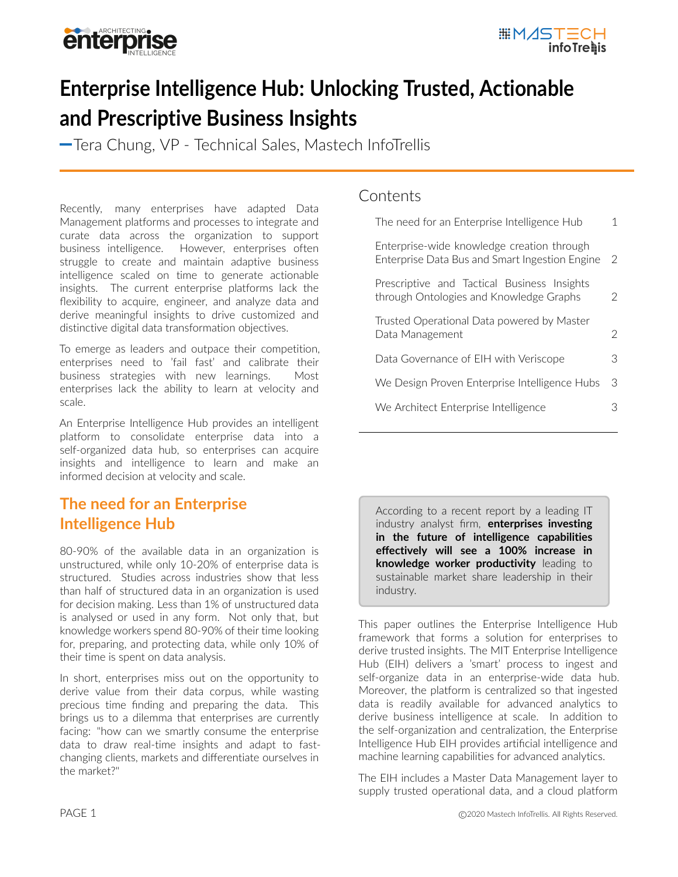



## <span id="page-0-0"></span>**Enterprise Intelligence Hub: Unlocking Trusted, Actionable and Prescriptive Business Insights**

Tera Chung, VP - Technical Sales, Mastech InfoTrellis

Recently, many enterprises have adapted Data Management platforms and processes to integrate and curate data across the organization to support business intelligence. However, enterprises often struggle to create and maintain adaptive business intelligence scaled on time to generate actionable insights. The current enterprise platforms lack the flexibility to acquire, engineer, and analyze data and derive meaningful insights to drive customized and distinctive digital data transformation objectives.

To emerge as leaders and outpace their competition, enterprises need to 'fail fast' and calibrate their business strategies with new learnings. Most enterprises lack the ability to learn at velocity and scale.

An Enterprise Intelligence Hub provides an intelligent platform to consolidate enterprise data into a self-organized data hub, so enterprises can acquire insights and intelligence to learn and make an informed decision at velocity and scale.

#### **The need for an Enterprise Intelligence Hub**

80-90% of the available data in an organization is unstructured, while only 10-20% of enterprise data is structured. Studies across industries show that less than half of structured data in an organization is used for decision making. Less than 1% of unstructured data is analysed or used in any form. Not only that, but knowledge workers spend 80-90% of their time looking for, preparing, and protecting data, while only 10% of their time is spent on data analysis.

In short, enterprises miss out on the opportunity to derive value from their data corpus, while wasting precious time finding and preparing the data. This brings us to a dilemma that enterprises are currently facing: "how can we smartly consume the enterprise data to draw real-time insights and adapt to fastchanging clients, markets and differentiate ourselves in the market?"

#### **Contents**

| The need for an Enterprise Intelligence Hub                                                  |   |
|----------------------------------------------------------------------------------------------|---|
| Enterprise-wide knowledge creation through<br>Enterprise Data Bus and Smart Ingestion Engine | 2 |
| Prescriptive and Tactical Business Insights<br>through Ontologies and Knowledge Graphs       | 2 |
| Trusted Operational Data powered by Master<br>Data Management                                | 2 |
| Data Governance of EIH with Veriscope                                                        | З |
| We Design Proven Enterprise Intelligence Hubs                                                | 3 |
| We Architect Enterprise Intelligence                                                         | З |
|                                                                                              |   |

According to a recent report by a leading IT industry analyst firm, **enterprises investing in the future of intelligence capabilities effectively will see a 100% increase in knowledge worker productivity** leading to sustainable market share leadership in their industry.

This paper outlines the Enterprise Intelligence Hub framework that forms a solution for enterprises to derive trusted insights. The MIT Enterprise Intelligence Hub (EIH) delivers a 'smart' process to ingest and self-organize data in an enterprise-wide data hub. Moreover, the platform is centralized so that ingested data is readily available for advanced analytics to derive business intelligence at scale. In addition to the self-organization and centralization, the Enterprise Intelligence Hub EIH provides artificial intelligence and machine learning capabilities for advanced analytics.

The EIH includes a Master Data Management layer to supply trusted operational data, and a cloud platform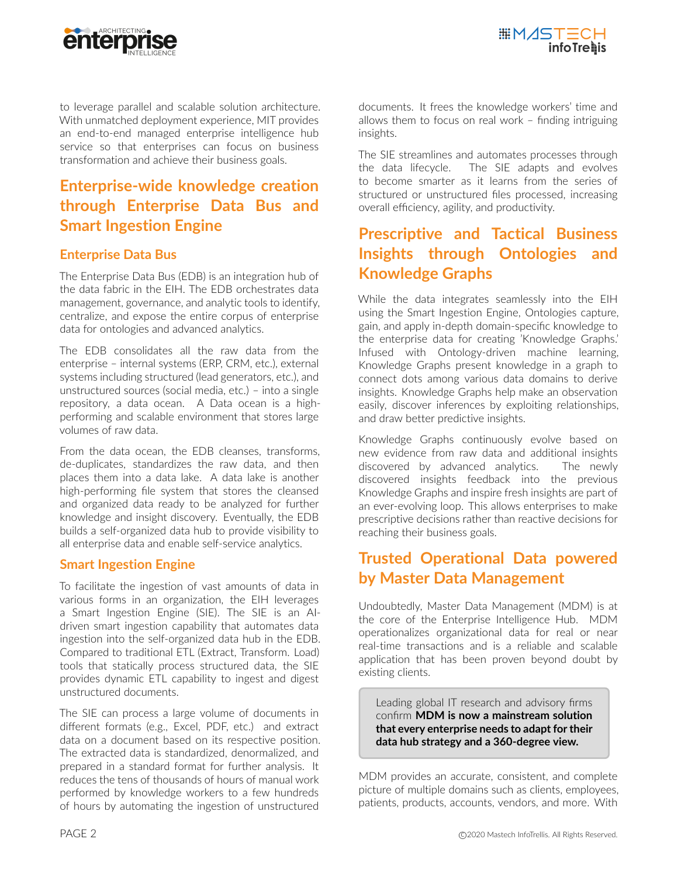



to leverage parallel and scalable solution architecture. With unmatched deployment experience, MIT provides an end-to-end managed enterprise intelligence hub service so that enterprises can focus on business transformation and achieve their business goals.

### **Enterprise-wide knowledge creation through Enterprise Data Bus and Smart Ingestion Engine**

#### **Enterprise Data Bus**

The Enterprise Data Bus (EDB) is an integration hub of the data fabric in the EIH. The EDB orchestrates data management, governance, and analytic tools to identify, centralize, and expose the entire corpus of enterprise data for ontologies and advanced analytics.

The EDB consolidates all the raw data from the enterprise – internal systems (ERP, CRM, etc.), external systems including structured (lead generators, etc.), and unstructured sources (social media, etc.) – into a single repository, a data ocean. A Data ocean is a highperforming and scalable environment that stores large volumes of raw data.

From the data ocean, the EDB cleanses, transforms, de-duplicates, standardizes the raw data, and then places them into a data lake. A data lake is another high-performing file system that stores the cleansed and organized data ready to be analyzed for further knowledge and insight discovery. Eventually, the EDB builds a self-organized data hub to provide visibility to all enterprise data and enable self-service analytics.

#### **Smart Ingestion Engine**

To facilitate the ingestion of vast amounts of data in various forms in an organization, the EIH leverages a Smart Ingestion Engine (SIE). The SIE is an AIdriven smart ingestion capability that automates data ingestion into the self-organized data hub in the EDB. Compared to traditional ETL (Extract, Transform. Load) tools that statically process structured data, the SIE provides dynamic ETL capability to ingest and digest unstructured documents.

The SIE can process a large volume of documents in different formats (e.g., Excel, PDF, etc.) and extract data on a document based on its respective position. The extracted data is standardized, denormalized, and prepared in a standard format for further analysis. It reduces the tens of thousands of hours of manual work performed by knowledge workers to a few hundreds of hours by automating the ingestion of unstructured

documents. It frees the knowledge workers' time and allows them to focus on real work – finding intriguing insights.

The SIE streamlines and automates processes through the data lifecycle. The SIE adapts and evolves to become smarter as it learns from the series of structured or unstructured files processed, increasing overall efficiency, agility, and productivity.

#### **Prescriptive and Tactical Business Insights through Ontologies and Knowledge Graphs**

While the data integrates seamlessly into the EIH using the Smart Ingestion Engine, Ontologies capture, gain, and apply in-depth domain-specific knowledge to the enterprise data for creating 'Knowledge Graphs.' Infused with Ontology-driven machine learning, Knowledge Graphs present knowledge in a graph to connect dots among various data domains to derive insights. Knowledge Graphs help make an observation easily, discover inferences by exploiting relationships, and draw better predictive insights.

Knowledge Graphs continuously evolve based on new evidence from raw data and additional insights discovered by advanced analytics. The newly discovered insights feedback into the previous Knowledge Graphs and inspire fresh insights are part of an ever-evolving loop. This allows enterprises to make prescriptive decisions rather than reactive decisions for reaching their business goals.

#### **Trusted Operational Data powered by Master Data Management**

Undoubtedly, Master Data Management (MDM) is at the core of the Enterprise Intelligence Hub. MDM operationalizes organizational data for real or near real-time transactions and is a reliable and scalable application that has been proven beyond doubt by existing clients.

Leading global IT research and advisory firms confirm **MDM is now a mainstream solution that every enterprise needs to adapt for their data hub strategy and a 360-degree view.**

MDM provides an accurate, consistent, and complete picture of multiple domains such as clients, employees, patients, products, accounts, vendors, and more. With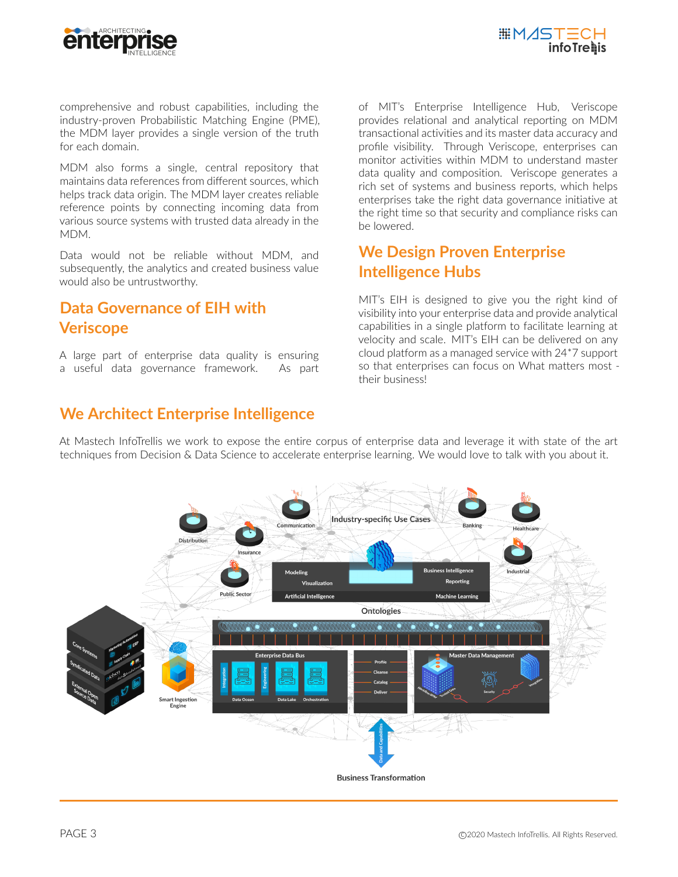



comprehensive and robust capabilities, including the industry-proven Probabilistic Matching Engine (PME), the MDM layer provides a single version of the truth for each domain.

MDM also forms a single, central repository that maintains data references from different sources, which helps track data origin. The MDM layer creates reliable reference points by connecting incoming data from various source systems with trusted data already in the MDM.

Data would not be reliable without MDM, and subsequently, the analytics and created business value would also be untrustworthy.

### **Data Governance of EIH with Veriscope**

A large part of enterprise data quality is ensuring a useful data governance framework. As part of MIT's Enterprise Intelligence Hub, Veriscope provides relational and analytical reporting on MDM transactional activities and its master data accuracy and profile visibility. Through Veriscope, enterprises can monitor activities within MDM to understand master data quality and composition. Veriscope generates a rich set of systems and business reports, which helps enterprises take the right data governance initiative at the right time so that security and compliance risks can be lowered.

#### **We Design Proven Enterprise Intelligence Hubs**

MIT's EIH is designed to give you the right kind of visibility into your enterprise data and provide analytical capabilities in a single platform to facilitate learning at velocity and scale. MIT's EIH can be delivered on any cloud platform as a managed service with 24\*7 support so that enterprises can focus on What matters most their business!

#### **We Architect Enterprise Intelligence**

At Mastech InfoTrellis we work to expose the entire corpus of enterprise data and leverage it with state of the art techniques from Decision & Data Science to accelerate enterprise learning. We would love to talk with you about it.